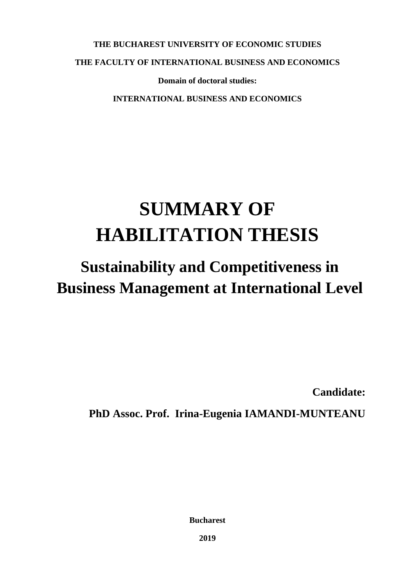**THE BUCHAREST UNIVERSITY OF ECONOMIC STUDIES**

**THE FACULTY OF INTERNATIONAL BUSINESS AND ECONOMICS**

**Domain of doctoral studies:** 

**INTERNATIONAL BUSINESS AND ECONOMICS**

## **SUMMARY OF HABILITATION THESIS**

## **Sustainability and Competitiveness in Business Management at International Level**

**Candidate:** 

**PhD Assoc. Prof. Irina-Eugenia IAMANDI-MUNTEANU**

**Bucharest**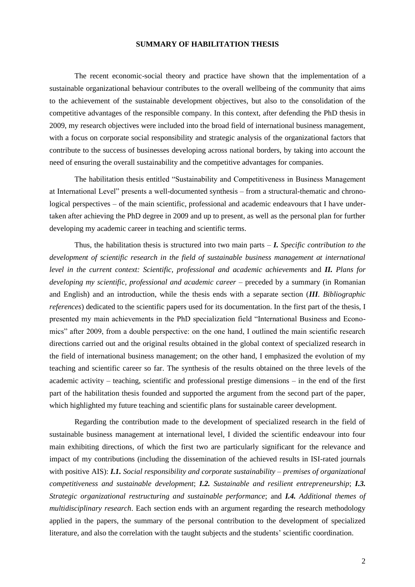## **SUMMARY OF HABILITATION THESIS**

The recent economic-social theory and practice have shown that the implementation of a sustainable organizational behaviour contributes to the overall wellbeing of the community that aims to the achievement of the sustainable development objectives, but also to the consolidation of the competitive advantages of the responsible company. In this context, after defending the PhD thesis in 2009, my research objectives were included into the broad field of international business management, with a focus on corporate social responsibility and strategic analysis of the organizational factors that contribute to the success of businesses developing across national borders, by taking into account the need of ensuring the overall sustainability and the competitive advantages for companies.

The habilitation thesis entitled "Sustainability and Competitiveness in Business Management at International Level" presents a well-documented synthesis – from a structural-thematic and chronological perspectives – of the main scientific, professional and academic endeavours that I have undertaken after achieving the PhD degree in 2009 and up to present, as well as the personal plan for further developing my academic career in teaching and scientific terms.

Thus, the habilitation thesis is structured into two main parts – *I. Specific contribution to the development of scientific research in the field of sustainable business management at international level in the current context: Scientific, professional and academic achievements* and *II. Plans for developing my scientific, professional and academic career* – preceded by a summary (in Romanian and English) and an introduction, while the thesis ends with a separate section (*III. Bibliographic references*) dedicated to the scientific papers used for its documentation. In the first part of the thesis, I presented my main achievements in the PhD specialization field "International Business and Economics" after 2009, from a double perspective: on the one hand, I outlined the main scientific research directions carried out and the original results obtained in the global context of specialized research in the field of international business management; on the other hand, I emphasized the evolution of my teaching and scientific career so far. The synthesis of the results obtained on the three levels of the academic activity – teaching, scientific and professional prestige dimensions – in the end of the first part of the habilitation thesis founded and supported the argument from the second part of the paper, which highlighted my future teaching and scientific plans for sustainable career development.

Regarding the contribution made to the development of specialized research in the field of sustainable business management at international level, I divided the scientific endeavour into four main exhibiting directions, of which the first two are particularly significant for the relevance and impact of my contributions (including the dissemination of the achieved results in ISI-rated journals with positive AIS): *I.1. Social responsibility and corporate sustainability – premises of organizational competitiveness and sustainable development*; *I.2. Sustainable and resilient entrepreneurship*; *I.3. Strategic organizational restructuring and sustainable performance*; and *I.4. Additional themes of multidisciplinary research*. Each section ends with an argument regarding the research methodology applied in the papers, the summary of the personal contribution to the development of specialized literature, and also the correlation with the taught subjects and the students' scientific coordination.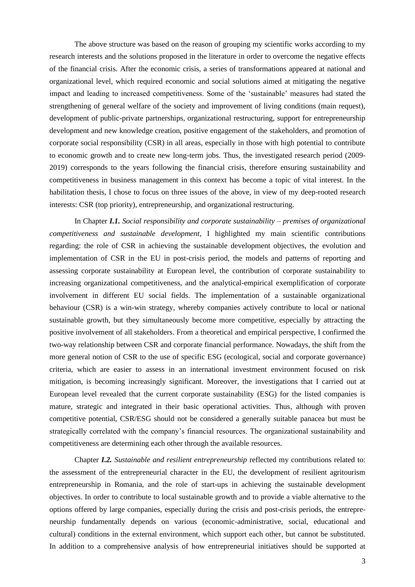The above structure was based on the reason of grouping my scientific works according to my research interests and the solutions proposed in the literature in order to overcome the negative effects of the financial crisis. After the economic crisis, a series of transformations appeared at national and organizational level, which required economic and social solutions aimed at mitigating the negative impact and leading to increased competitiveness. Some of the 'sustainable' measures had stated the strengthening of general welfare of the society and improvement of living conditions (main request), development of public-private partnerships, organizational restructuring, support for entrepreneurship development and new knowledge creation, positive engagement of the stakeholders, and promotion of corporate social responsibility (CSR) in all areas, especially in those with high potential to contribute to economic growth and to create new long-term jobs. Thus, the investigated research period (2009- 2019) corresponds to the years following the financial crisis, therefore ensuring sustainability and competitiveness in business management in this context has become a topic of vital interest. In the habilitation thesis, I chose to focus on three issues of the above, in view of my deep-rooted research interests: CSR (top priority), entrepreneurship, and organizational restructuring.

In Chapter *I.1. Social responsibility and corporate sustainability – premises of organizational competitiveness and sustainable development*, I highlighted my main scientific contributions regarding: the role of CSR in achieving the sustainable development objectives, the evolution and implementation of CSR in the EU in post-crisis period, the models and patterns of reporting and assessing corporate sustainability at European level, the contribution of corporate sustainability to increasing organizational competitiveness, and the analytical-empirical exemplification of corporate involvement in different EU social fields. The implementation of a sustainable organizational behaviour (CSR) is a win-win strategy, whereby companies actively contribute to local or national sustainable growth, but they simultaneously become more competitive, especially by attracting the positive involvement of all stakeholders. From a theoretical and empirical perspective, I confirmed the two-way relationship between CSR and corporate financial performance. Nowadays, the shift from the more general notion of CSR to the use of specific ESG (ecological, social and corporate governance) criteria, which are easier to assess in an international investment environment focused on risk mitigation, is becoming increasingly significant. Moreover, the investigations that I carried out at European level revealed that the current corporate sustainability (ESG) for the listed companies is mature, strategic and integrated in their basic operational activities. Thus, although with proven competitive potential, CSR/ESG should not be considered a generally suitable panacea but must be strategically correlated with the company's financial resources. The organizational sustainability and competitiveness are determining each other through the available resources.

Chapter *I.2. Sustainable and resilient entrepreneurship* reflected my contributions related to: the assessment of the entrepreneurial character in the EU, the development of resilient agritourism entrepreneurship in Romania, and the role of start-ups in achieving the sustainable development objectives. In order to contribute to local sustainable growth and to provide a viable alternative to the options offered by large companies, especially during the crisis and post-crisis periods, the entrepreneurship fundamentally depends on various (economic-administrative, social, educational and cultural) conditions in the external environment, which support each other, but cannot be substituted. In addition to a comprehensive analysis of how entrepreneurial initiatives should be supported at